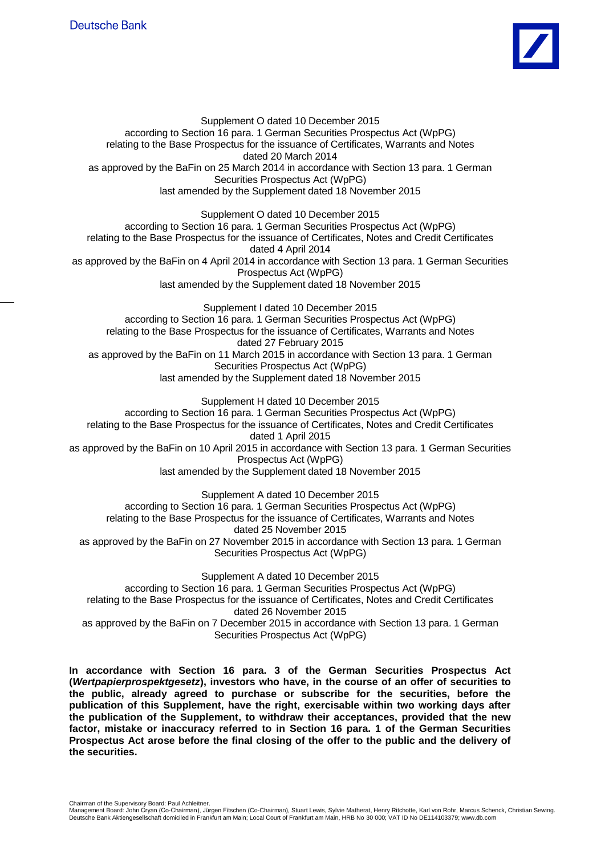

Supplement O dated 10 December 2015 according to Section 16 para. 1 German Securities Prospectus Act (WpPG) relating to the Base Prospectus for the issuance of Certificates, Warrants and Notes dated 20 March 2014 as approved by the BaFin on 25 March 2014 in accordance with Section 13 para. 1 German Securities Prospectus Act (WpPG) last amended by the Supplement dated 18 November 2015 Supplement O dated 10 December 2015 according to Section 16 para. 1 German Securities Prospectus Act (WpPG) relating to the Base Prospectus for the issuance of Certificates, Notes and Credit Certificates dated 4 April 2014 as approved by the BaFin on 4 April 2014 in accordance with Section 13 para. 1 German Securities Prospectus Act (WpPG) last amended by the Supplement dated 18 November 2015 Supplement I dated 10 December 2015 according to Section 16 para. 1 German Securities Prospectus Act (WpPG) relating to the Base Prospectus for the issuance of Certificates, Warrants and Notes dated 27 February 2015 as approved by the BaFin on 11 March 2015 in accordance with Section 13 para. 1 German Securities Prospectus Act (WpPG) last amended by the Supplement dated 18 November 2015 Supplement H dated 10 December 2015 according to Section 16 para. 1 German Securities Prospectus Act (WpPG) relating to the Base Prospectus for the issuance of Certificates, Notes and Credit Certificates dated 1 April 2015 as approved by the BaFin on 10 April 2015 in accordance with Section 13 para. 1 German Securities Prospectus Act (WpPG) last amended by the Supplement dated 18 November 2015 Supplement A dated 10 December 2015 according to Section 16 para. 1 German Securities Prospectus Act (WpPG) relating to the Base Prospectus for the issuance of Certificates, Warrants and Notes dated 25 November 2015 as approved by the BaFin on 27 November 2015 in accordance with Section 13 para. 1 German Securities Prospectus Act (WpPG) Supplement A dated 10 December 2015 according to Section 16 para. 1 German Securities Prospectus Act (WpPG) relating to the Base Prospectus for the issuance of Certificates, Notes and Credit Certificates dated 26 November 2015 as approved by the BaFin on 7 December 2015 in accordance with Section 13 para. 1 German Securities Prospectus Act (WpPG)

**In accordance with Section 16 para. 3 of the German Securities Prospectus Act (***Wertpapierprospektgesetz***), investors who have, in the course of an offer of securities to the public, already agreed to purchase or subscribe for the securities, before the publication of this Supplement, have the right, exercisable within two working days after the publication of the Supplement, to withdraw their acceptances, provided that the new factor, mistake or inaccuracy referred to in Section 16 para. 1 of the German Securities Prospectus Act arose before the final closing of the offer to the public and the delivery of the securities.**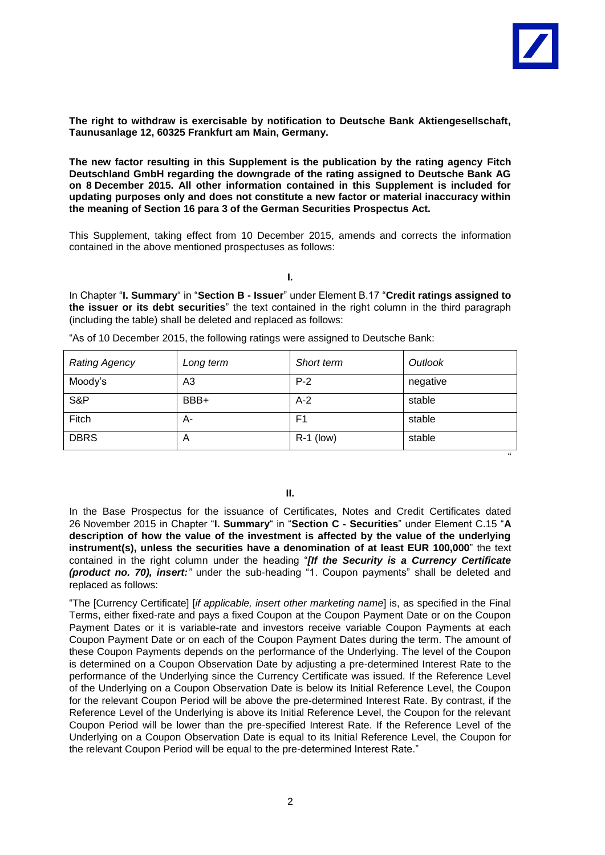

**The right to withdraw is exercisable by notification to Deutsche Bank Aktiengesellschaft, Taunusanlage 12, 60325 Frankfurt am Main, Germany.**

**The new factor resulting in this Supplement is the publication by the rating agency Fitch Deutschland GmbH regarding the downgrade of the rating assigned to Deutsche Bank AG on 8 December 2015. All other information contained in this Supplement is included for updating purposes only and does not constitute a new factor or material inaccuracy within the meaning of Section 16 para 3 of the German Securities Prospectus Act.**

This Supplement, taking effect from 10 December 2015, amends and corrects the information contained in the above mentioned prospectuses as follows:

**I.**

In Chapter "**I. Summary**" in "Section B - Issuer" under Element B.17 "Credit ratings assigned to the issuer or its debt securities" the text contained in the right column in the third paragraph (including the table) shall be deleted and replaced as follows:

| <b>Rating Agency</b> | Long term | Short term     | Outlook  |
|----------------------|-----------|----------------|----------|
| Moody's              | A3        | $P-2$          | negative |
| S&P                  | BBB+      | $A-2$          | stable   |
| Fitch                | А-        | F <sub>1</sub> | stable   |
| <b>DBRS</b>          | A         | $R-1$ (low)    | stable   |
|                      |           |                | 66       |

"As of 10 December 2015, the following ratings were assigned to Deutsche Bank:

**II.**

In the Base Prospectus for the issuance of Certificates, Notes and Credit Certificates dated 26 November 2015 in Chapter "I. Summary" in "Section C - Securities" under Element C.15 "A **description of how the value of the investment is affected by the value of the underlying instrument(s), unless the securities have a denomination of at least EUR 100,000**" the text contained in the right column under the heading "*[If the Security is a Currency Certificate (product no. 70), insert:*<sup>"</sup> under the sub-heading "1. Coupon payments" shall be deleted and replaced as follows:

"The [Currency Certificate] [*if applicable, insert other marketing name*] is, as specified in the Final Terms, either fixed-rate and pays a fixed Coupon at the Coupon Payment Date or on the Coupon Payment Dates or it is variable-rate and investors receive variable Coupon Payments at each Coupon Payment Date or on each of the Coupon Payment Dates during the term. The amount of these Coupon Payments depends on the performance of the Underlying. The level of the Coupon is determined on a Coupon Observation Date by adjusting a pre-determined Interest Rate to the performance of the Underlying since the Currency Certificate was issued. If the Reference Level of the Underlying on a Coupon Observation Date is below its Initial Reference Level, the Coupon for the relevant Coupon Period will be above the pre-determined Interest Rate. By contrast, if the Reference Level of the Underlying is above its Initial Reference Level, the Coupon for the relevant Coupon Period will be lower than the pre-specified Interest Rate. If the Reference Level of the Underlying on a Coupon Observation Date is equal to its Initial Reference Level, the Coupon for the relevant Coupon Period will be equal to the pre-determined Interest Rate."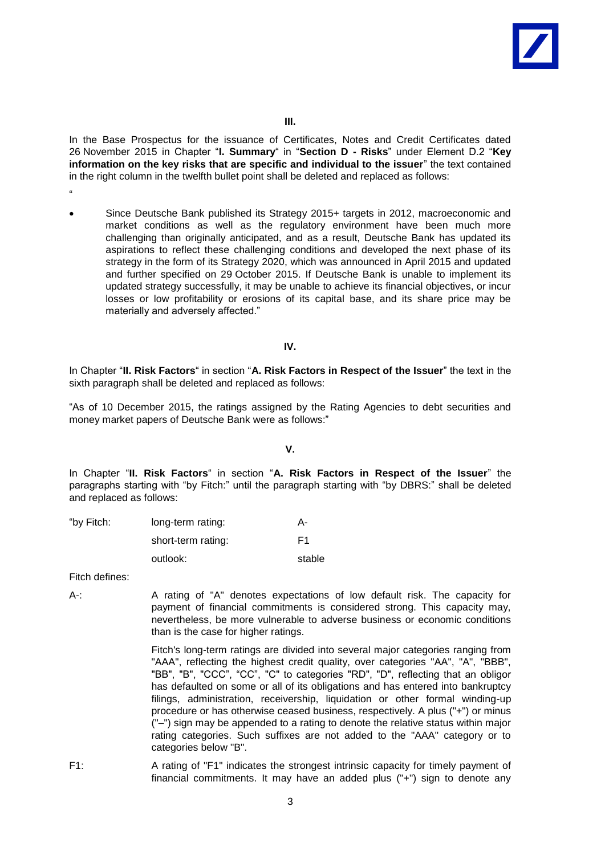

In the Base Prospectus for the issuance of Certificates, Notes and Credit Certificates dated 26 November 2015 in Chapter "**I. Summary**" in "Section D - Risks" under Element D.2 "Key **information on the key risks that are specific and individual to the issuer**" the text contained in the right column in the twelfth bullet point shall be deleted and replaced as follows:

- "
	- Since Deutsche Bank published its Strategy 2015+ targets in 2012, macroeconomic and market conditions as well as the regulatory environment have been much more challenging than originally anticipated, and as a result, Deutsche Bank has updated its aspirations to reflect these challenging conditions and developed the next phase of its strategy in the form of its Strategy 2020, which was announced in April 2015 and updated and further specified on 29 October 2015. If Deutsche Bank is unable to implement its updated strategy successfully, it may be unable to achieve its financial objectives, or incur losses or low profitability or erosions of its capital base, and its share price may be materially and adversely affected."

## **IV.**

In Chapter "II. Risk Factors" in section "A. Risk Factors in Respect of the Issuer" the text in the sixth paragraph shall be deleted and replaced as follows:

"As of 10 December 2015, the ratings assigned by the Rating Agencies to debt securities and money market papers of Deutsche Bank were as follows:"

## **V.**

In Chapter "II. Risk Factors" in section "A. Risk Factors in Respect of the Issuer" the paragraphs starting with "by Fitch:" until the paragraph starting with "by DBRS:" shall be deleted and replaced as follows:

| "by Fitch: | long-term rating:  | А-     |
|------------|--------------------|--------|
|            | short-term rating: | F1.    |
|            | outlook:           | stable |

Fitch defines:

A-: A rating of "A" denotes expectations of low default risk. The capacity for payment of financial commitments is considered strong. This capacity may, nevertheless, be more vulnerable to adverse business or economic conditions than is the case for higher ratings.

> Fitch's long-term ratings are divided into several major categories ranging from "AAA", reflecting the highest credit quality, over categories "AA", "A", "BBB", "BB", "B", "CCC", "CC", "C" to categories "RD", "D", reflecting that an obligor has defaulted on some or all of its obligations and has entered into bankruptcy filings, administration, receivership, liquidation or other formal winding-up procedure or has otherwise ceased business, respectively. A plus ("+") or minus ("–") sign may be appended to a rating to denote the relative status within major rating categories. Such suffixes are not added to the "AAA" category or to categories below "B".

F1: A rating of "F1" indicates the strongest intrinsic capacity for timely payment of financial commitments. It may have an added plus ("+") sign to denote any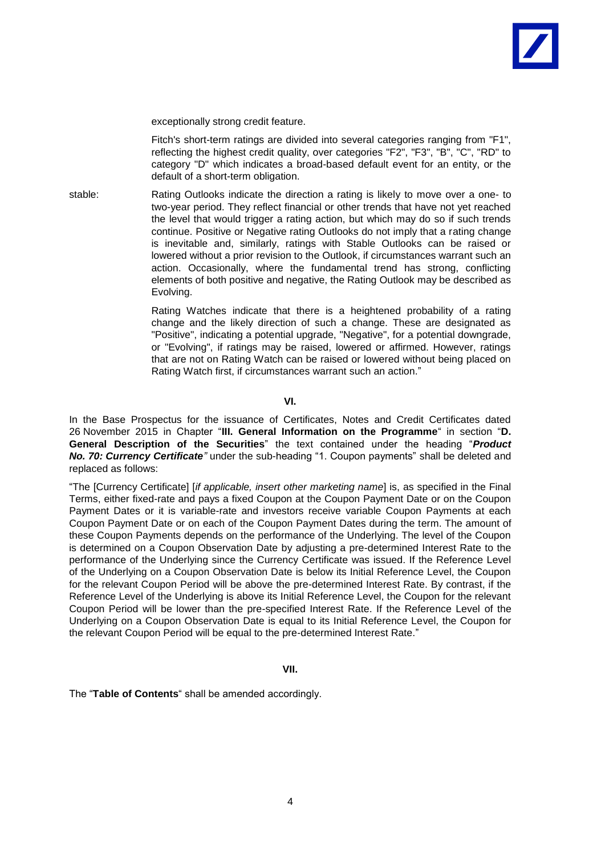

exceptionally strong credit feature.

Fitch's short-term ratings are divided into several categories ranging from "F1", reflecting the highest credit quality, over categories "F2", "F3", "B", "C", "RD" to category "D" which indicates a broad-based default event for an entity, or the default of a short-term obligation.

stable: Rating Outlooks indicate the direction a rating is likely to move over a one- to two-year period. They reflect financial or other trends that have not yet reached the level that would trigger a rating action, but which may do so if such trends continue. Positive or Negative rating Outlooks do not imply that a rating change is inevitable and, similarly, ratings with Stable Outlooks can be raised or lowered without a prior revision to the Outlook, if circumstances warrant such an action. Occasionally, where the fundamental trend has strong, conflicting elements of both positive and negative, the Rating Outlook may be described as Evolving.

> Rating Watches indicate that there is a heightened probability of a rating change and the likely direction of such a change. These are designated as "Positive", indicating a potential upgrade, "Negative", for a potential downgrade, or "Evolving", if ratings may be raised, lowered or affirmed. However, ratings that are not on Rating Watch can be raised or lowered without being placed on Rating Watch first, if circumstances warrant such an action."

## **VI.**

In the Base Prospectus for the issuance of Certificates, Notes and Credit Certificates dated 26 November 2015 in Chapter "III. General Information on the Programme" in section "D. General Description of the Securities" the text contained under the heading "Product *No. 70: Currency Certificate*<sup>*"*</sup> under the sub-heading "1. Coupon payments" shall be deleted and replaced as follows:

"The [Currency Certificate] [*if applicable, insert other marketing name*] is, as specified in the Final Terms, either fixed-rate and pays a fixed Coupon at the Coupon Payment Date or on the Coupon Payment Dates or it is variable-rate and investors receive variable Coupon Payments at each Coupon Payment Date or on each of the Coupon Payment Dates during the term. The amount of these Coupon Payments depends on the performance of the Underlying. The level of the Coupon is determined on a Coupon Observation Date by adjusting a pre-determined Interest Rate to the performance of the Underlying since the Currency Certificate was issued. If the Reference Level of the Underlying on a Coupon Observation Date is below its Initial Reference Level, the Coupon for the relevant Coupon Period will be above the pre-determined Interest Rate. By contrast, if the Reference Level of the Underlying is above its Initial Reference Level, the Coupon for the relevant Coupon Period will be lower than the pre-specified Interest Rate. If the Reference Level of the Underlying on a Coupon Observation Date is equal to its Initial Reference Level, the Coupon for the relevant Coupon Period will be equal to the pre-determined Interest Rate."

## **VII.**

The "Table of Contents" shall be amended accordingly.